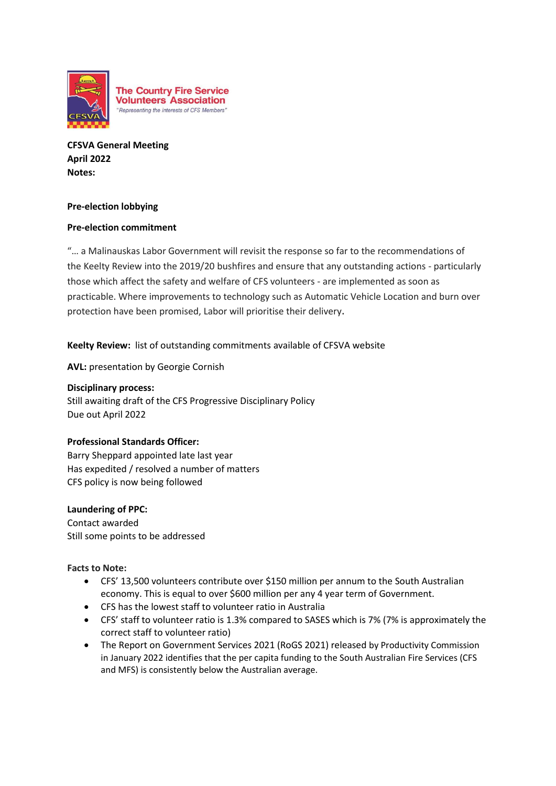

**CFSVA General Meeting April 2022 Notes:**

### **Pre-election lobbying**

# **Pre-election commitment**

"… a Malinauskas Labor Government will revisit the response so far to the recommendations of the Keelty Review into the 2019/20 bushfires and ensure that any outstanding actions - particularly those which affect the safety and welfare of CFS volunteers - are implemented as soon as practicable. Where improvements to technology such as Automatic Vehicle Location and burn over protection have been promised, Labor will prioritise their delivery.

**Keelty Review:** list of outstanding commitments available of CFSVA website

**AVL:** presentation by Georgie Cornish

## **Disciplinary process:**

Still awaiting draft of the CFS Progressive Disciplinary Policy Due out April 2022

#### **Professional Standards Officer:**

Barry Sheppard appointed late last year Has expedited / resolved a number of matters CFS policy is now being followed

#### **Laundering of PPC:**

Contact awarded Still some points to be addressed

#### **Facts to Note:**

- CFS' 13,500 volunteers contribute over \$150 million per annum to the South Australian economy. This is equal to over \$600 million per any 4 year term of Government.
- CFS has the lowest staff to volunteer ratio in Australia
- CFS' staff to volunteer ratio is 1.3% compared to SASES which is 7% (7% is approximately the correct staff to volunteer ratio)
- The Report on Government Services 2021 (RoGS 2021) released by Productivity Commission in January 2022 identifies that the per capita funding to the South Australian Fire Services (CFS and MFS) is consistently below the Australian average.